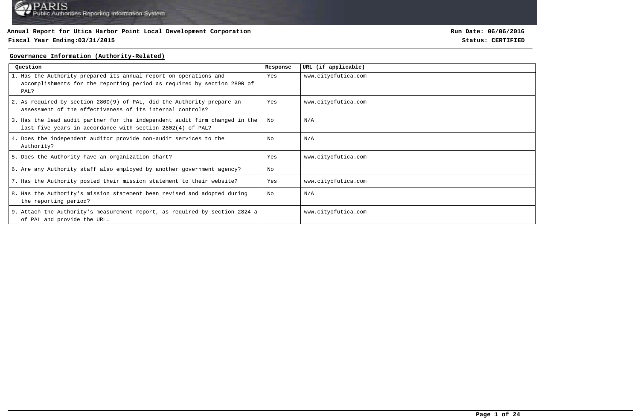### **Fiscal Year Ending:03/31/2015 Status: CERTIFIED**

**Run Date: 06/06/2016**

#### **Governance Information (Authority-Related)**

| Question                                                                                                                                             | Response | URL (if applicable) |
|------------------------------------------------------------------------------------------------------------------------------------------------------|----------|---------------------|
| 1. Has the Authority prepared its annual report on operations and<br>accomplishments for the reporting period as required by section 2800 of<br>PAL? | Yes      | www.cityofutica.com |
| 2. As required by section 2800(9) of PAL, did the Authority prepare an<br>assessment of the effectiveness of its internal controls?                  | Yes      | www.cityofutica.com |
| 3. Has the lead audit partner for the independent audit firm changed in the<br>last five years in accordance with section 2802(4) of PAL?            | No       | N/A                 |
| 4. Does the independent auditor provide non-audit services to the<br>Authority?                                                                      | No       | N/A                 |
| 5. Does the Authority have an organization chart?                                                                                                    | Yes      | www.cityofutica.com |
| 6. Are any Authority staff also employed by another government agency?                                                                               | No       |                     |
| 7. Has the Authority posted their mission statement to their website?                                                                                | Yes      | www.cityofutica.com |
| 8. Has the Authority's mission statement been revised and adopted during<br>the reporting period?                                                    | No       | N/A                 |
| 9. Attach the Authority's measurement report, as required by section 2824-a<br>of PAL and provide the URL.                                           |          | www.cityofutica.com |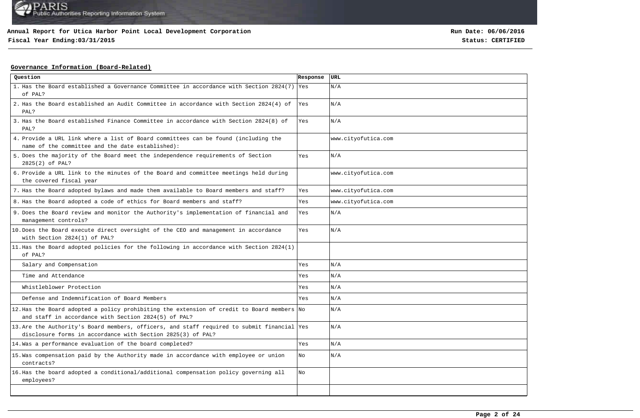# **Fiscal Year Ending:03/31/2015 Status: CERTIFIED**

**Run Date: 06/06/2016**

### **Governance Information (Board-Related)**

| Question                                                                                                                                                   | Response | URL                 |
|------------------------------------------------------------------------------------------------------------------------------------------------------------|----------|---------------------|
| 1. Has the Board established a Governance Committee in accordance with Section 2824(7) Yes<br>of PAL?                                                      |          | N/A                 |
| 2. Has the Board established an Audit Committee in accordance with Section 2824(4) of<br>PAL?                                                              | Yes      | N/A                 |
| 3. Has the Board established Finance Committee in accordance with Section 2824(8) of<br>PAL?                                                               | Yes      | N/A                 |
| 4. Provide a URL link where a list of Board committees can be found (including the<br>name of the committee and the date established):                     |          | www.cityofutica.com |
| 5. Does the majority of the Board meet the independence requirements of Section<br>2825(2) of PAL?                                                         | Yes      | N/A                 |
| 6. Provide a URL link to the minutes of the Board and committee meetings held during<br>the covered fiscal year                                            |          | www.cityofutica.com |
| 7. Has the Board adopted bylaws and made them available to Board members and staff?                                                                        | Yes      | www.cityofutica.com |
| 8. Has the Board adopted a code of ethics for Board members and staff?                                                                                     | Yes      | www.cityofutica.com |
| 9. Does the Board review and monitor the Authority's implementation of financial and<br>management controls?                                               | Yes      | N/A                 |
| 10. Does the Board execute direct oversight of the CEO and management in accordance<br>with Section 2824(1) of PAL?                                        | Yes      | N/A                 |
| 11. Has the Board adopted policies for the following in accordance with Section 2824(1)<br>of PAL?                                                         |          |                     |
| Salary and Compensation                                                                                                                                    | Yes      | N/A                 |
| Time and Attendance                                                                                                                                        | Yes      | N/A                 |
| Whistleblower Protection                                                                                                                                   | Yes      | N/A                 |
| Defense and Indemnification of Board Members                                                                                                               | Yes      | N/A                 |
| 12. Has the Board adopted a policy prohibiting the extension of credit to Board members No<br>and staff in accordance with Section 2824(5) of PAL?         |          | N/A                 |
| 13. Are the Authority's Board members, officers, and staff required to submit financial Yes<br>disclosure forms in accordance with Section 2825(3) of PAL? |          | N/A                 |
| 14. Was a performance evaluation of the board completed?                                                                                                   | Yes      | N/A                 |
| 15. Was compensation paid by the Authority made in accordance with employee or union<br>contracts?                                                         | No       | N/A                 |
| 16. Has the board adopted a conditional/additional compensation policy governing all<br>employees?                                                         | No       |                     |
|                                                                                                                                                            |          |                     |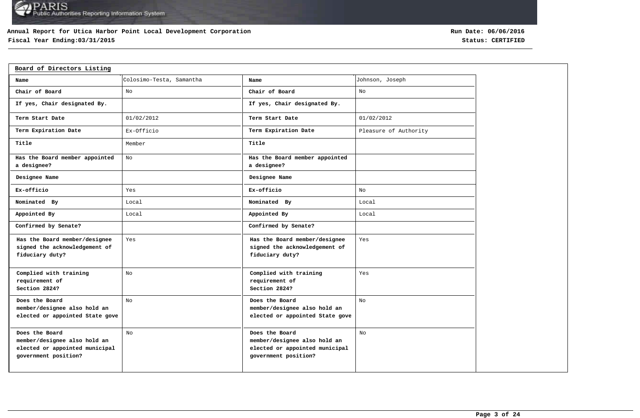### **Annual Report for Utica Harbor Point Local Development Corporation**

# **Fiscal Year Ending:03/31/2015 Status: CERTIFIED**

| Board of Directors Listing                                                                               |                          |                                                                                                          |                       |
|----------------------------------------------------------------------------------------------------------|--------------------------|----------------------------------------------------------------------------------------------------------|-----------------------|
| Name                                                                                                     | Colosimo-Testa, Samantha | Name                                                                                                     | Johnson, Joseph       |
| Chair of Board                                                                                           | No                       | Chair of Board                                                                                           | No                    |
| If yes, Chair designated By.                                                                             |                          | If yes, Chair designated By.                                                                             |                       |
| Term Start Date                                                                                          | 01/02/2012               | Term Start Date                                                                                          | 01/02/2012            |
| Term Expiration Date                                                                                     | Ex-Officio               | Term Expiration Date                                                                                     | Pleasure of Authority |
| Title                                                                                                    | Member                   | Title                                                                                                    |                       |
| Has the Board member appointed<br>a designee?                                                            | No                       | Has the Board member appointed<br>a designee?                                                            |                       |
| Designee Name                                                                                            |                          | Designee Name                                                                                            |                       |
| Ex-officio                                                                                               | Yes                      | Ex-officio                                                                                               | No                    |
| Nominated By                                                                                             | Local                    | Nominated By                                                                                             | Local                 |
| Appointed By                                                                                             | Local                    | Appointed By                                                                                             | Local                 |
| Confirmed by Senate?                                                                                     |                          | Confirmed by Senate?                                                                                     |                       |
| Has the Board member/designee<br>signed the acknowledgement of<br>fiduciary duty?                        | Yes                      | Has the Board member/designee<br>signed the acknowledgement of<br>fiduciary duty?                        | Yes                   |
| Complied with training<br>requirement of<br>Section 2824?                                                | No                       | Complied with training<br>requirement of<br>Section 2824?                                                | Yes                   |
| Does the Board<br>member/designee also hold an<br>elected or appointed State gove                        | No                       | Does the Board<br>member/designee also hold an<br>elected or appointed State gove                        | $_{\rm No}$           |
| Does the Board<br>member/designee also hold an<br>elected or appointed municipal<br>government position? | No                       | Does the Board<br>member/designee also hold an<br>elected or appointed municipal<br>government position? | No                    |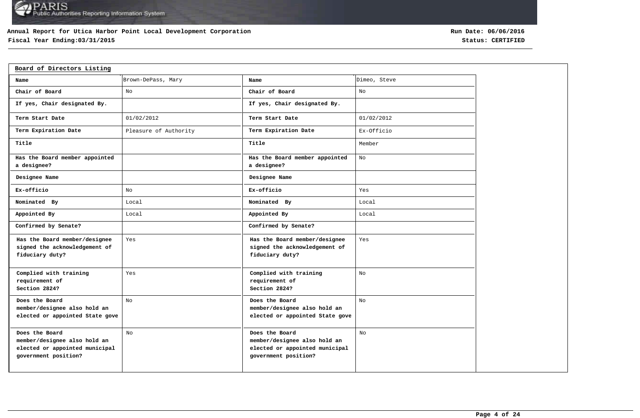### **Annual Report for Utica Harbor Point Local Development Corporation**

# **Fiscal Year Ending:03/31/2015 Status: CERTIFIED**

| Board of Directors Listing                                                                               |                       |                                                                                                          |              |
|----------------------------------------------------------------------------------------------------------|-----------------------|----------------------------------------------------------------------------------------------------------|--------------|
| Name                                                                                                     | Brown-DePass, Mary    | Name                                                                                                     | Dimeo, Steve |
| Chair of Board                                                                                           | No                    | Chair of Board                                                                                           | No           |
| If yes, Chair designated By.                                                                             |                       | If yes, Chair designated By.                                                                             |              |
| Term Start Date                                                                                          | 01/02/2012            | Term Start Date                                                                                          | 01/02/2012   |
| Term Expiration Date                                                                                     | Pleasure of Authority | Term Expiration Date                                                                                     | Ex-Officio   |
| Title                                                                                                    |                       | Title                                                                                                    | Member       |
| Has the Board member appointed<br>a designee?                                                            |                       | Has the Board member appointed<br>a designee?                                                            | No           |
| Designee Name                                                                                            |                       | Designee Name                                                                                            |              |
| Ex-officio                                                                                               | No                    | Ex-officio                                                                                               | Yes          |
| Nominated By                                                                                             | Local                 | Nominated By                                                                                             | Local        |
| Appointed By                                                                                             | Local                 | Appointed By                                                                                             | Local        |
| Confirmed by Senate?                                                                                     |                       | Confirmed by Senate?                                                                                     |              |
| Has the Board member/designee<br>signed the acknowledgement of<br>fiduciary duty?                        | Yes                   | Has the Board member/designee<br>signed the acknowledgement of<br>fiduciary duty?                        | Yes          |
| Complied with training<br>requirement of<br>Section 2824?                                                | Yes                   | Complied with training<br>requirement of<br>Section 2824?                                                | No           |
| Does the Board<br>member/designee also hold an<br>elected or appointed State gove                        | No                    | Does the Board<br>member/designee also hold an<br>elected or appointed State gove                        | No           |
| Does the Board<br>member/designee also hold an<br>elected or appointed municipal<br>government position? | No                    | Does the Board<br>member/designee also hold an<br>elected or appointed municipal<br>government position? | No           |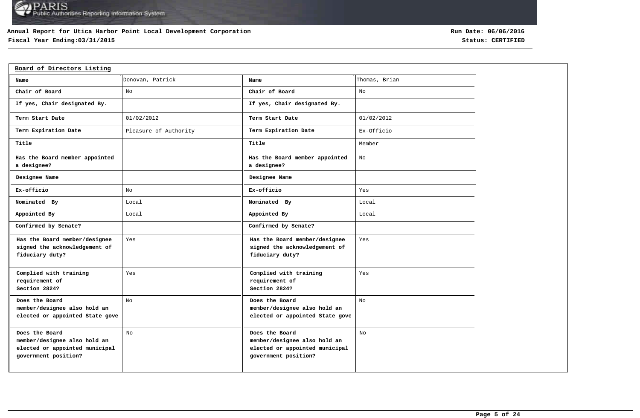### **Annual Report for Utica Harbor Point Local Development Corporation**

# **Fiscal Year Ending:03/31/2015 Status: CERTIFIED**

| Board of Directors Listing                                                                               |                       |                                                                                                          |               |
|----------------------------------------------------------------------------------------------------------|-----------------------|----------------------------------------------------------------------------------------------------------|---------------|
| Name                                                                                                     | Donovan, Patrick      | Name                                                                                                     | Thomas, Brian |
| Chair of Board                                                                                           | No                    | Chair of Board                                                                                           | No            |
| If yes, Chair designated By.                                                                             |                       | If yes, Chair designated By.                                                                             |               |
| Term Start Date                                                                                          | 01/02/2012            | Term Start Date                                                                                          | 01/02/2012    |
| Term Expiration Date                                                                                     | Pleasure of Authority | Term Expiration Date                                                                                     | Ex-Officio    |
| Title                                                                                                    |                       | Title                                                                                                    | Member        |
| Has the Board member appointed<br>a designee?                                                            |                       | Has the Board member appointed<br>a designee?                                                            | No            |
| Designee Name                                                                                            |                       | Designee Name                                                                                            |               |
| Ex-officio                                                                                               | No                    | Ex-officio                                                                                               | Yes           |
| Nominated By                                                                                             | Local                 | Nominated By                                                                                             | Local         |
| Appointed By                                                                                             | Local                 | Appointed By                                                                                             | Local         |
| Confirmed by Senate?                                                                                     |                       | Confirmed by Senate?                                                                                     |               |
| Has the Board member/designee<br>signed the acknowledgement of<br>fiduciary duty?                        | Yes                   | Has the Board member/designee<br>signed the acknowledgement of<br>fiduciary duty?                        | Yes           |
| Complied with training<br>requirement of<br>Section 2824?                                                | Yes                   | Complied with training<br>requirement of<br>Section 2824?                                                | Yes           |
| Does the Board<br>member/designee also hold an<br>elected or appointed State gove                        | No                    | Does the Board<br>member/designee also hold an<br>elected or appointed State gove                        | No            |
| Does the Board<br>member/designee also hold an<br>elected or appointed municipal<br>government position? | No                    | Does the Board<br>member/designee also hold an<br>elected or appointed municipal<br>government position? | No            |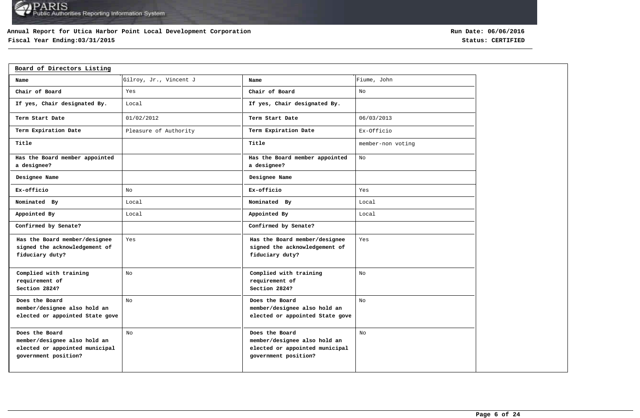### **Annual Report for Utica Harbor Point Local Development Corporation**

# **Fiscal Year Ending:03/31/2015 Status: CERTIFIED**

| Board of Directors Listing                                                                               |                        |                                                                                                          |                   |
|----------------------------------------------------------------------------------------------------------|------------------------|----------------------------------------------------------------------------------------------------------|-------------------|
| Name                                                                                                     | Gilroy, Jr., Vincent J | Name                                                                                                     | Fiume, John       |
| Chair of Board                                                                                           | Yes                    | Chair of Board                                                                                           | No                |
| If yes, Chair designated By.                                                                             | Local                  | If yes, Chair designated By.                                                                             |                   |
| Term Start Date                                                                                          | 01/02/2012             | Term Start Date                                                                                          | 06/03/2013        |
| Term Expiration Date                                                                                     | Pleasure of Authority  | Term Expiration Date                                                                                     | Ex-Officio        |
| Title                                                                                                    |                        | Title                                                                                                    | member-non voting |
| Has the Board member appointed<br>a designee?                                                            |                        | Has the Board member appointed<br>a designee?                                                            | No                |
| Designee Name                                                                                            |                        | Designee Name                                                                                            |                   |
| Ex-officio                                                                                               | No                     | Ex-officio                                                                                               | Yes               |
| Nominated By                                                                                             | Local                  | Nominated By                                                                                             | Local             |
| Appointed By                                                                                             | Local                  | Appointed By                                                                                             | Local             |
| Confirmed by Senate?                                                                                     |                        | Confirmed by Senate?                                                                                     |                   |
| Has the Board member/designee<br>signed the acknowledgement of<br>fiduciary duty?                        | Yes                    | Has the Board member/designee<br>signed the acknowledgement of<br>fiduciary duty?                        | Yes               |
| Complied with training<br>requirement of<br>Section 2824?                                                | No                     | Complied with training<br>requirement of<br>Section 2824?                                                | No                |
| Does the Board<br>member/designee also hold an<br>elected or appointed State gove                        | No                     | Does the Board<br>member/designee also hold an<br>elected or appointed State gove                        | No                |
| Does the Board<br>member/designee also hold an<br>elected or appointed municipal<br>government position? | No                     | Does the Board<br>member/designee also hold an<br>elected or appointed municipal<br>government position? | No                |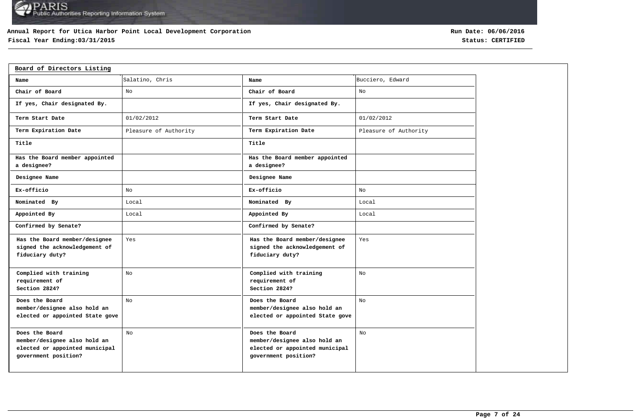### **Annual Report for Utica Harbor Point Local Development Corporation**

# **Fiscal Year Ending:03/31/2015 Status: CERTIFIED**

| Board of Directors Listing                                                                               |                       |                                                                                                          |                       |
|----------------------------------------------------------------------------------------------------------|-----------------------|----------------------------------------------------------------------------------------------------------|-----------------------|
| Name                                                                                                     | Salatino, Chris       | Name                                                                                                     | Bucciero, Edward      |
| Chair of Board                                                                                           | No                    | Chair of Board                                                                                           | No                    |
| If yes, Chair designated By.                                                                             |                       | If yes, Chair designated By.                                                                             |                       |
| Term Start Date                                                                                          | 01/02/2012            | Term Start Date                                                                                          | 01/02/2012            |
| Term Expiration Date                                                                                     | Pleasure of Authority | Term Expiration Date                                                                                     | Pleasure of Authority |
| Title                                                                                                    |                       | Title                                                                                                    |                       |
| Has the Board member appointed<br>a designee?                                                            |                       | Has the Board member appointed<br>a designee?                                                            |                       |
| Designee Name                                                                                            |                       | Designee Name                                                                                            |                       |
| Ex-officio                                                                                               | No                    | Ex-officio                                                                                               | No                    |
| Nominated By                                                                                             | Local                 | Nominated By                                                                                             | Local                 |
| Appointed By                                                                                             | Local                 | Appointed By                                                                                             | Local                 |
| Confirmed by Senate?                                                                                     |                       | Confirmed by Senate?                                                                                     |                       |
| Has the Board member/designee<br>signed the acknowledgement of<br>fiduciary duty?                        | Yes                   | Has the Board member/designee<br>signed the acknowledgement of<br>fiduciary duty?                        | Yes                   |
| Complied with training<br>requirement of<br>Section 2824?                                                | No                    | Complied with training<br>requirement of<br>Section 2824?                                                | No                    |
| Does the Board<br>member/designee also hold an<br>elected or appointed State gove                        | No                    | Does the Board<br>member/designee also hold an<br>elected or appointed State gove                        | No                    |
| Does the Board<br>member/designee also hold an<br>elected or appointed municipal<br>government position? | No                    | Does the Board<br>member/designee also hold an<br>elected or appointed municipal<br>government position? | No                    |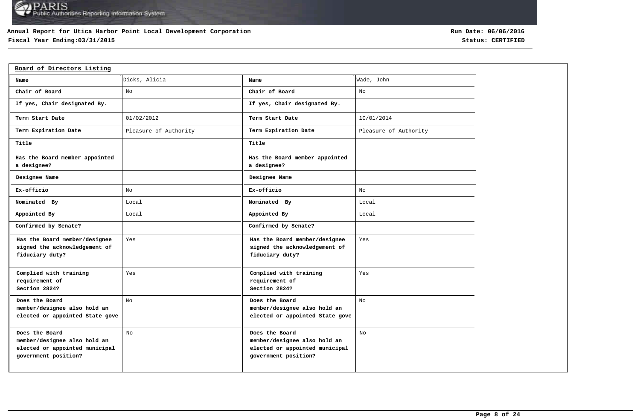### **Annual Report for Utica Harbor Point Local Development Corporation**

# **Fiscal Year Ending:03/31/2015 Status: CERTIFIED**

| Board of Directors Listing                                                                               |                       |                                                                                                          |                       |
|----------------------------------------------------------------------------------------------------------|-----------------------|----------------------------------------------------------------------------------------------------------|-----------------------|
| Name                                                                                                     | Dicks, Alicia         | Name                                                                                                     | Wade, John            |
| Chair of Board                                                                                           | No                    | Chair of Board                                                                                           | No                    |
| If yes, Chair designated By.                                                                             |                       | If yes, Chair designated By.                                                                             |                       |
| Term Start Date                                                                                          | 01/02/2012            | Term Start Date                                                                                          | 10/01/2014            |
| Term Expiration Date                                                                                     | Pleasure of Authority | Term Expiration Date                                                                                     | Pleasure of Authority |
| Title                                                                                                    |                       | Title                                                                                                    |                       |
| Has the Board member appointed<br>a designee?                                                            |                       | Has the Board member appointed<br>a designee?                                                            |                       |
| Designee Name                                                                                            |                       | Designee Name                                                                                            |                       |
| Ex-officio                                                                                               | No                    | Ex-officio                                                                                               | No                    |
| Nominated By                                                                                             | Local                 | Nominated By                                                                                             | Local                 |
| Appointed By                                                                                             | Local                 | Appointed By                                                                                             | Local                 |
| Confirmed by Senate?                                                                                     |                       | Confirmed by Senate?                                                                                     |                       |
| Has the Board member/designee<br>signed the acknowledgement of<br>fiduciary duty?                        | Yes                   | Has the Board member/designee<br>signed the acknowledgement of<br>fiduciary duty?                        | Yes                   |
| Complied with training<br>requirement of<br>Section 2824?                                                | Yes                   | Complied with training<br>requirement of<br>Section 2824?                                                | Yes                   |
| Does the Board<br>member/designee also hold an<br>elected or appointed State gove                        | No                    | Does the Board<br>member/designee also hold an<br>elected or appointed State gove                        | No                    |
| Does the Board<br>member/designee also hold an<br>elected or appointed municipal<br>government position? | No                    | Does the Board<br>member/designee also hold an<br>elected or appointed municipal<br>government position? | No                    |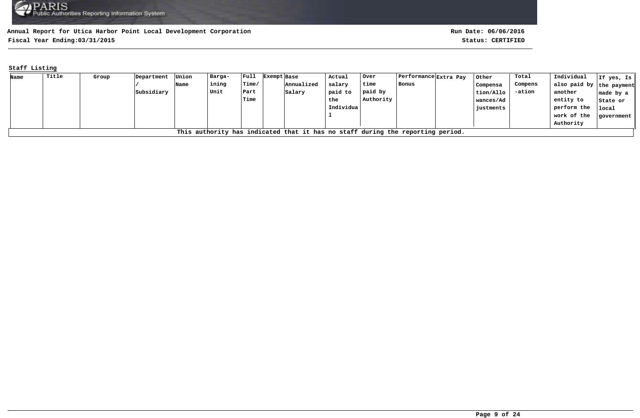**Fiscal Year Ending:03/31/2015 Status: CERTIFIED**

### **Staff Listing**

| Name | Title                                                                          | Group | Department | Union | Barga- | $ $ Full    | Exempt Base | Actual    | Over      | Performance  Extra Pay |  | Other     | Total   | Individual               | If yes, Is        |
|------|--------------------------------------------------------------------------------|-------|------------|-------|--------|-------------|-------------|-----------|-----------|------------------------|--|-----------|---------|--------------------------|-------------------|
|      |                                                                                |       |            | Name  | ining  | Time/       | Annualized  | salary    | time      | Bonus                  |  | Compensa  | Compens | also paid by the payment |                   |
|      |                                                                                |       | Subsidiary |       | Unit   | Part        | Salary      | paid to   | paid by   |                        |  | tion/Allo | -ation  | another                  | $ $ made by a $ $ |
|      |                                                                                |       |            |       |        | <b>Time</b> |             | the       | Authority |                        |  | wances/Ad |         | entity to                | State or          |
|      |                                                                                |       |            |       |        |             |             | Individua |           |                        |  | justments |         | perform the              | local             |
|      |                                                                                |       |            |       |        |             |             |           |           |                        |  |           |         | work of the              | government        |
|      |                                                                                |       |            |       |        |             |             |           |           |                        |  |           |         | Authority                |                   |
|      | This authority has indicated that it has no staff during the reporting period. |       |            |       |        |             |             |           |           |                        |  |           |         |                          |                   |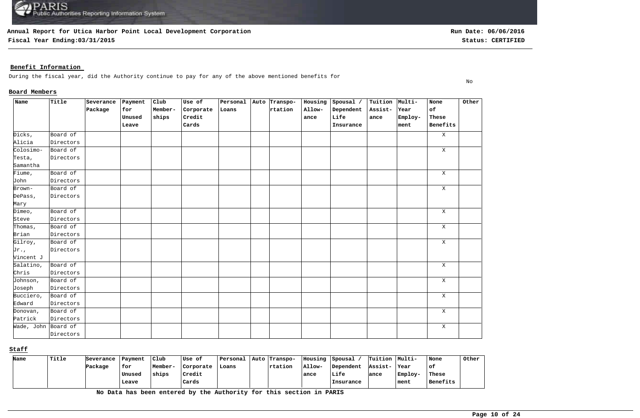**Fiscal Year Ending:03/31/2015 Status: CERTIFIED**

No

### **Benefit Information**

During the fiscal year, did the Authority continue to pay for any of the above mentioned benefits for

#### **Board Members**

| Name                | Title     | Severance | Payment | $_{\text{Club}}$ | Use of    | Personal | Auto Transpo- | Housing | Spousal / | Tuition Multi- |         | None         | Other |
|---------------------|-----------|-----------|---------|------------------|-----------|----------|---------------|---------|-----------|----------------|---------|--------------|-------|
|                     |           | Package   | for     | Member-          | Corporate | Loans    | rtation       | Allow-  | Dependent | Assist-        | Year    | of           |       |
|                     |           |           | Unused  | ships            | Credit    |          |               | ance    | Life      | ance           | Employ- | These        |       |
|                     |           |           | Leave   |                  | Cards     |          |               |         | Insurance |                | ment    | Benefits     |       |
| Dicks,              | Board of  |           |         |                  |           |          |               |         |           |                |         | $\mathbf{X}$ |       |
| Alicia              | Directors |           |         |                  |           |          |               |         |           |                |         |              |       |
| Colosimo-           | Board of  |           |         |                  |           |          |               |         |           |                |         | X            |       |
| Testa,              | Directors |           |         |                  |           |          |               |         |           |                |         |              |       |
| Samantha            |           |           |         |                  |           |          |               |         |           |                |         |              |       |
| Fiume,              | Board of  |           |         |                  |           |          |               |         |           |                |         | X            |       |
| John                | Directors |           |         |                  |           |          |               |         |           |                |         |              |       |
| Brown-              | Board of  |           |         |                  |           |          |               |         |           |                |         | Χ            |       |
| DePass,             | Directors |           |         |                  |           |          |               |         |           |                |         |              |       |
| Mary                |           |           |         |                  |           |          |               |         |           |                |         |              |       |
| Dimeo,              | Board of  |           |         |                  |           |          |               |         |           |                |         | $\mathbf{X}$ |       |
| Steve               | Directors |           |         |                  |           |          |               |         |           |                |         |              |       |
| Thomas,             | Board of  |           |         |                  |           |          |               |         |           |                |         | $\mathbf X$  |       |
| Brian               | Directors |           |         |                  |           |          |               |         |           |                |         |              |       |
| Gilroy,             | Board of  |           |         |                  |           |          |               |         |           |                |         | X            |       |
| Jr.,                | Directors |           |         |                  |           |          |               |         |           |                |         |              |       |
| Vincent J           |           |           |         |                  |           |          |               |         |           |                |         |              |       |
| Salatino,           | Board of  |           |         |                  |           |          |               |         |           |                |         | $\mathbf X$  |       |
| Chris               | Directors |           |         |                  |           |          |               |         |           |                |         |              |       |
| Johnson,            | Board of  |           |         |                  |           |          |               |         |           |                |         | $\mathbf X$  |       |
| Joseph              | Directors |           |         |                  |           |          |               |         |           |                |         |              |       |
| Bucciero,           | Board of  |           |         |                  |           |          |               |         |           |                |         | $\mathbf X$  |       |
| Edward              | Directors |           |         |                  |           |          |               |         |           |                |         |              |       |
| Donovan,            | Board of  |           |         |                  |           |          |               |         |           |                |         | $\mathbf X$  |       |
| Patrick             | Directors |           |         |                  |           |          |               |         |           |                |         |              |       |
| Wade, John Board of |           |           |         |                  |           |          |               |         |           |                |         | $\mathbf X$  |       |
|                     | Directors |           |         |                  |           |          |               |         |           |                |         |              |       |

**Staff**

| Name | Title | Severance | Payment | Club    | ∣Use of   | Personal | Auto Transpo- | IIousing | Spousal   | Tuition Multi- |          | None     | Other |
|------|-------|-----------|---------|---------|-----------|----------|---------------|----------|-----------|----------------|----------|----------|-------|
|      |       | Package   | for     | Member- | Corporate | Loans    | rtation       | Allow-   | Dependent | Assist-        | Year     | оf       |       |
|      |       |           | Unused  | ships   | Credit    |          |               | ance     | Life      | lance          | 'Employ- | These    |       |
|      |       |           | Leave   |         | Cards     |          |               |          | Insurance |                | ment     | Benefits |       |

**No Data has been entered by the Authority for this section in PARIS**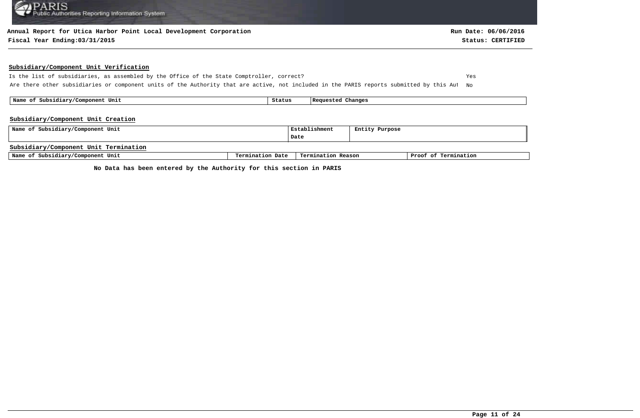#### **Annual Report for Utica Harbor Point Local Development Corporation**

#### **Fiscal Year Ending:03/31/2015 Status: CERTIFIED**

#### **Subsidiary/Component Unit Verification**

Is the list of subsidiaries, as assembled by the Office of the State Comptroller, correct? Yes Are there other subsidiaries or component units of the Authority that are active, not included in the PARIS reports submitted by this Aut No

 **Name of Subsidiary/Component Unit Status Requested Changes** 

#### **Subsidiary/Component Unit Creation**

| Name of Subsidiary/Component Unit     |                  | Establishment      | Entity Purpose |                      |
|---------------------------------------|------------------|--------------------|----------------|----------------------|
|                                       |                  | Date               |                |                      |
| Subsidiary/Component Unit Termination |                  |                    |                |                      |
| Name of Subsidiary/Component Unit     | Termination Date | Termination Reason |                | Proof of Termination |

**No Data has been entered by the Authority for this section in PARIS**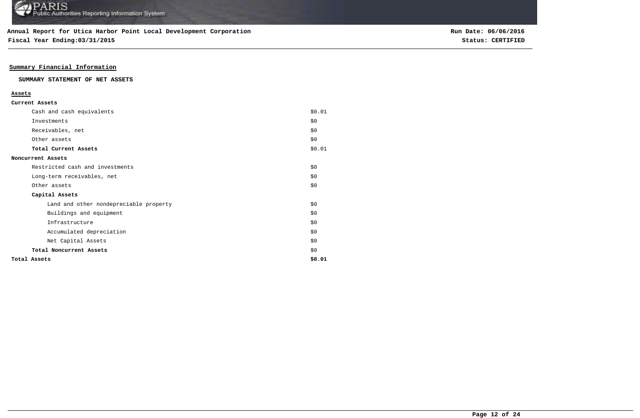**Fiscal Year Ending:03/31/2015 Status: CERTIFIED**

### **Summary Financial Information**

#### **SUMMARY STATEMENT OF NET ASSETS**

#### **Assets**

| Cash and cash equivalents              | \$0.01 |
|----------------------------------------|--------|
| Investments                            | \$0    |
| Receivables, net                       | \$0\$  |
| Other assets                           | \$0\$  |
| Total Current Assets                   | \$0.01 |
| Noncurrent Assets                      |        |
| Restricted cash and investments        | \$0    |
| Long-term receivables, net             | \$0    |
| Other assets                           | \$0    |
| Capital Assets                         |        |
| Land and other nondepreciable property | \$0    |
| Buildings and equipment                | \$0    |
| Infrastructure                         | \$0    |
| Accumulated depreciation               | \$0    |
| Net Capital Assets                     | \$0    |
| Total Noncurrent Assets                | \$0    |
| Total Assets                           | \$0.01 |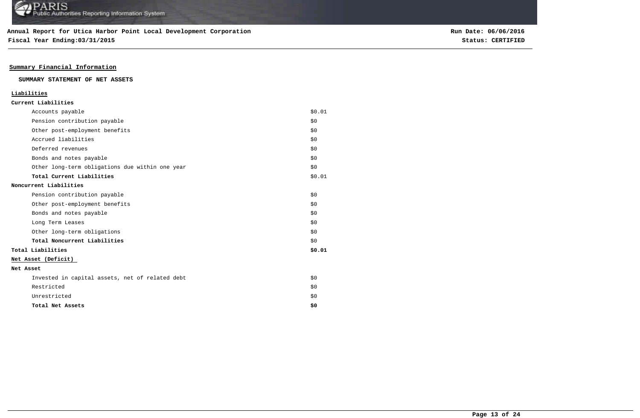**Fiscal Year Ending:03/31/2015 Status: CERTIFIED**

### **Summary Financial Information**

#### **SUMMARY STATEMENT OF NET ASSETS**

### **Liabilities**

| Accounts payable                                | \$0.01 |
|-------------------------------------------------|--------|
| Pension contribution payable                    | \$0    |
| Other post-employment benefits                  | \$0    |
| Accrued liabilities                             | \$0    |
| Deferred revenues                               | \$0    |
| Bonds and notes payable                         | \$0    |
| Other long-term obligations due within one year | \$0    |
| Total Current Liabilities                       | \$0.01 |
| Noncurrent Liabilities                          |        |
| Pension contribution payable                    | \$0    |
| Other post-employment benefits                  | \$0    |
| Bonds and notes payable                         | \$0    |
| Long Term Leases                                | \$0    |
| Other long-term obligations                     | \$0    |
| Total Noncurrent Liabilities                    | \$0    |
| Total Liabilities                               | \$0.01 |
| Net Asset (Deficit)                             |        |
| Net Asset                                       |        |
| Invested in capital assets, net of related debt | \$0    |
| Restricted                                      | \$0    |
| Unrestricted                                    | \$0    |
| Total Net Assets                                | \$0    |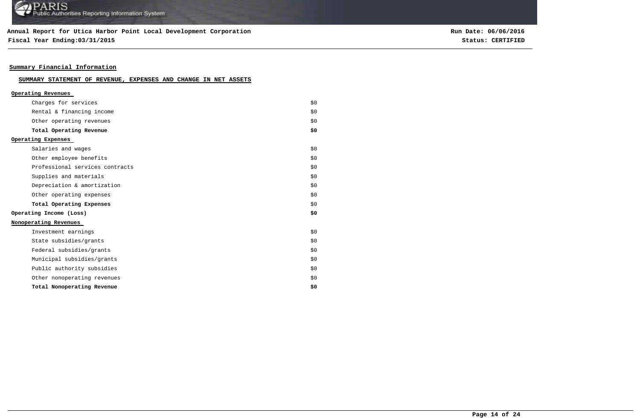### **Annual Report for Utica Harbor Point Local Development Corporation**

**Fiscal Year Ending:03/31/2015 Status: CERTIFIED**

**Run Date: 06/06/2016**

### **Summary Financial Information**

### **SUMMARY STATEMENT OF REVENUE, EXPENSES AND CHANGE IN NET ASSETS**

| Operating Revenues              |     |
|---------------------------------|-----|
| Charges for services            | \$0 |
| Rental & financing income       | \$0 |
| Other operating revenues        | \$0 |
| Total Operating Revenue         | \$0 |
| Operating Expenses              |     |
| Salaries and wages              | \$0 |
| Other employee benefits         | \$0 |
| Professional services contracts | \$0 |
| Supplies and materials          | \$0 |
| Depreciation & amortization     | \$0 |
| Other operating expenses        | \$0 |
| Total Operating Expenses        | \$0 |
| Operating Income (Loss)         | \$0 |
| Nonoperating Revenues           |     |
| Investment earnings             | \$0 |
| State subsidies/grants          | \$0 |
| Federal subsidies/grants        | \$0 |
| Municipal subsidies/grants      | \$0 |
| Public authority subsidies      | \$0 |
| Other nonoperating revenues     | \$0 |
| Total Nonoperating Revenue      | \$0 |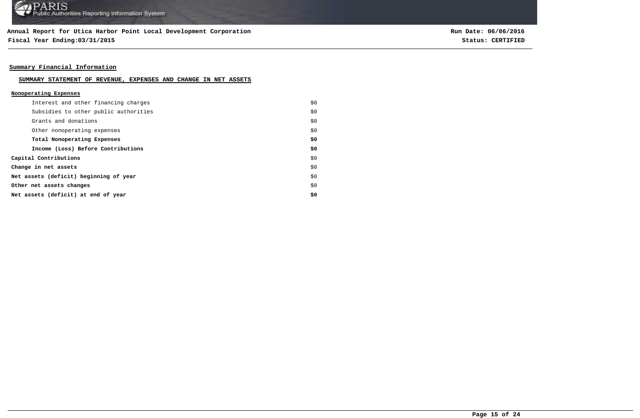**Fiscal Year Ending:03/31/2015 Status: CERTIFIED**

**Run Date: 06/06/2016**

### **Summary Financial Information**

#### **SUMMARY STATEMENT OF REVENUE, EXPENSES AND CHANGE IN NET ASSETS**

#### **Nonoperating Expenses**

| Interest and other financing charges   | \$0 |
|----------------------------------------|-----|
| Subsidies to other public authorities  | \$0 |
| Grants and donations                   | \$0 |
| Other nonoperating expenses            | \$0 |
| Total Nonoperating Expenses            | \$0 |
| Income (Loss) Before Contributions     | \$0 |
| Capital Contributions                  | \$0 |
| Change in net assets                   | \$0 |
| Net assets (deficit) beginning of year | \$0 |
| Other net assets changes               | \$0 |
| Net assets (deficit) at end of year    | \$0 |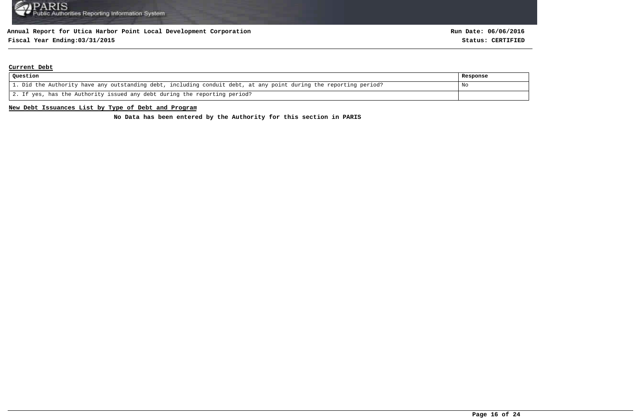# **Fiscal Year Ending:03/31/2015 Status: CERTIFIED**

#### **Current Debt**

| Question                                                                                                          | Response |
|-------------------------------------------------------------------------------------------------------------------|----------|
| 1. Did the Authority have any outstanding debt, including conduit debt, at any point during the reporting period? | No       |
| 2. If yes, has the Authority issued any debt during the reporting period?                                         |          |

#### **New Debt Issuances List by Type of Debt and Program**

**No Data has been entered by the Authority for this section in PARIS**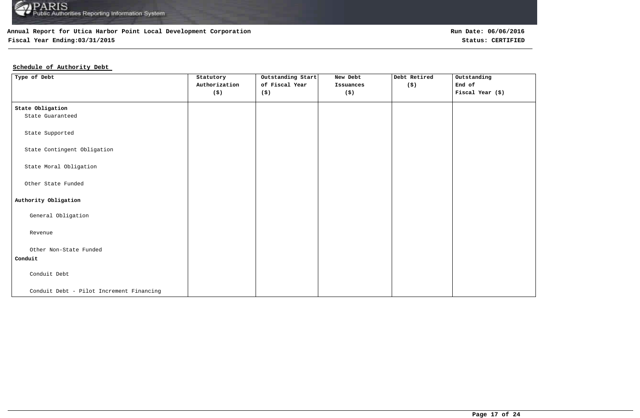

## **Fiscal Year Ending:03/31/2015 Status: CERTIFIED**

### **Schedule of Authority Debt**

| Type of Debt                             | Statutory<br>Authorization<br>$(\boldsymbol{\mathsf{S}})$ | Outstanding Start<br>of Fiscal Year<br>(\$) | New Debt<br>Issuances<br>$(\boldsymbol{\mathsf{S}})$ | Debt Retired<br>(\$) | Outstanding<br>End of<br>Fiscal Year (\$) |
|------------------------------------------|-----------------------------------------------------------|---------------------------------------------|------------------------------------------------------|----------------------|-------------------------------------------|
| State Obligation                         |                                                           |                                             |                                                      |                      |                                           |
| State Guaranteed                         |                                                           |                                             |                                                      |                      |                                           |
| State Supported                          |                                                           |                                             |                                                      |                      |                                           |
| State Contingent Obligation              |                                                           |                                             |                                                      |                      |                                           |
| State Moral Obligation                   |                                                           |                                             |                                                      |                      |                                           |
| Other State Funded                       |                                                           |                                             |                                                      |                      |                                           |
| Authority Obligation                     |                                                           |                                             |                                                      |                      |                                           |
| General Obligation                       |                                                           |                                             |                                                      |                      |                                           |
| Revenue                                  |                                                           |                                             |                                                      |                      |                                           |
| Other Non-State Funded                   |                                                           |                                             |                                                      |                      |                                           |
| Conduit                                  |                                                           |                                             |                                                      |                      |                                           |
| Conduit Debt                             |                                                           |                                             |                                                      |                      |                                           |
| Conduit Debt - Pilot Increment Financing |                                                           |                                             |                                                      |                      |                                           |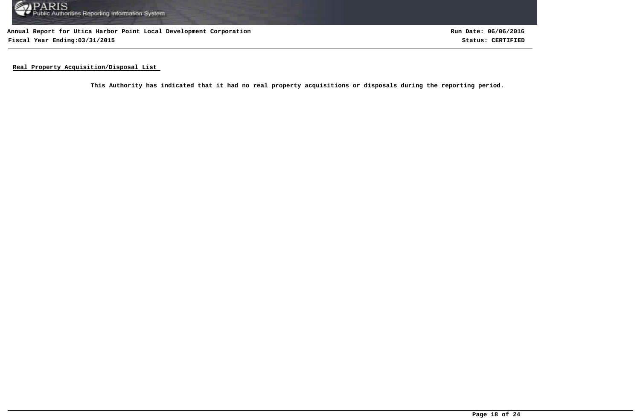

**Annual Report for Utica Harbor Point Local Development Corporation Fiscal Year Ending:03/31/2015 Status: CERTIFIED**

**Run Date: 06/06/2016**

**Real Property Acquisition/Disposal List** 

**This Authority has indicated that it had no real property acquisitions or disposals during the reporting period.**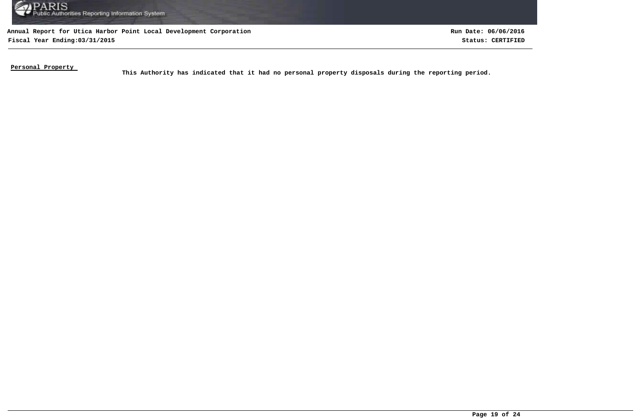

**Annual Report for Utica Harbor Point Local Development Corporation Fiscal Year Ending:03/31/2015 Status: CERTIFIED**

**Run Date: 06/06/2016**

**Personal Property** 

This Authority has indicated that it had no personal property disposals during the reporting period.<br>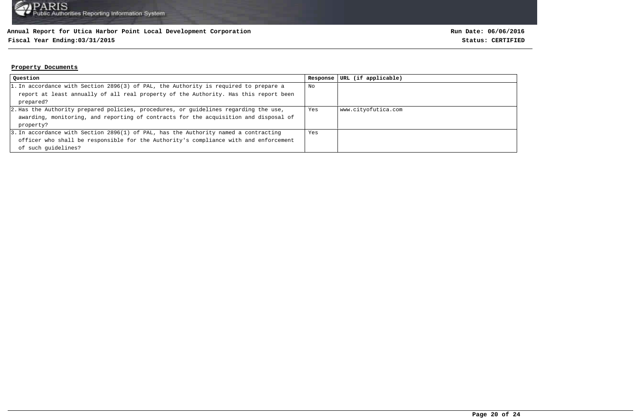### **Fiscal Year Ending:03/31/2015 Status: CERTIFIED**

#### **Property Documents**

| Question                                                                             | Response | URL (if applicable) |
|--------------------------------------------------------------------------------------|----------|---------------------|
| 1. In accordance with Section 2896(3) of PAL, the Authority is required to prepare a | No       |                     |
| report at least annually of all real property of the Authority. Has this report been |          |                     |
| prepared?                                                                            |          |                     |
| 2. Has the Authority prepared policies, procedures, or quidelines regarding the use, | Yes      | www.cityofutica.com |
| awarding, monitoring, and reporting of contracts for the acquisition and disposal of |          |                     |
| property?                                                                            |          |                     |
| 3. In accordance with Section 2896(1) of PAL, has the Authority named a contracting  | Yes      |                     |
| officer who shall be responsible for the Authority's compliance with and enforcement |          |                     |
| of such quidelines?                                                                  |          |                     |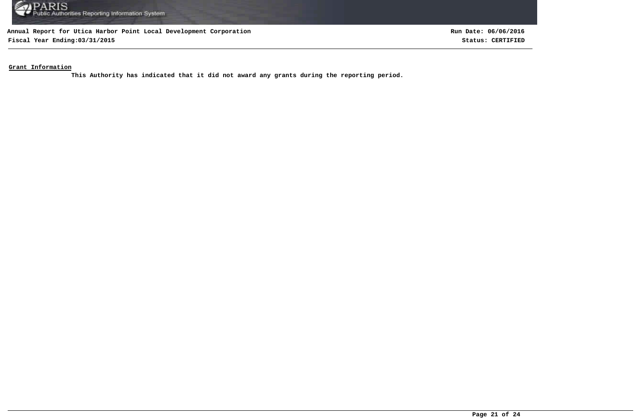

**Fiscal Year Ending:03/31/2015 Status: CERTIFIED**

**Run Date: 06/06/2016**

**Grant Information**

**This Authority has indicated that it did not award any grants during the reporting period.**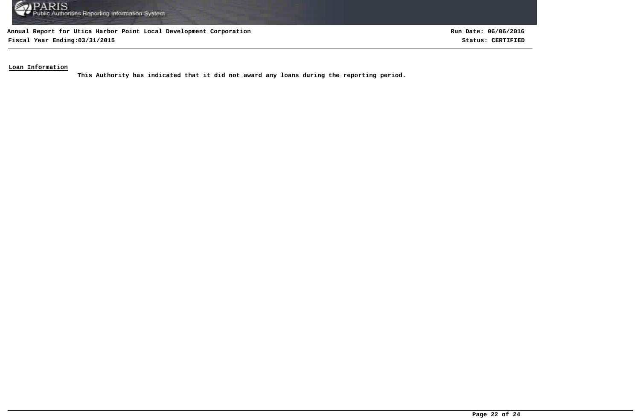

**Fiscal Year Ending:03/31/2015 Status: CERTIFIED**

**Run Date: 06/06/2016**

**Loan Information**

**This Authority has indicated that it did not award any loans during the reporting period.**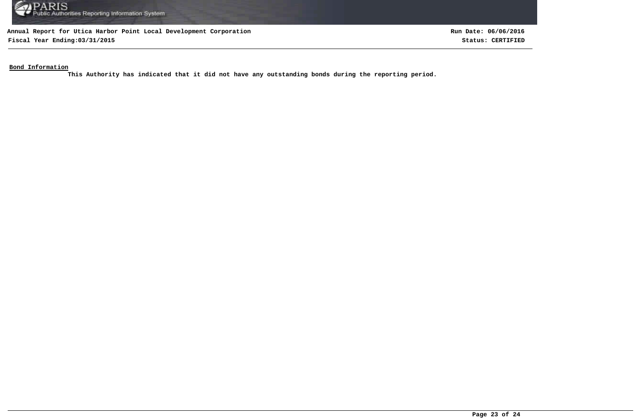

**Fiscal Year Ending:03/31/2015 Status: CERTIFIED**

**Run Date: 06/06/2016**

**Bond Information**

**This Authority has indicated that it did not have any outstanding bonds during the reporting period.**